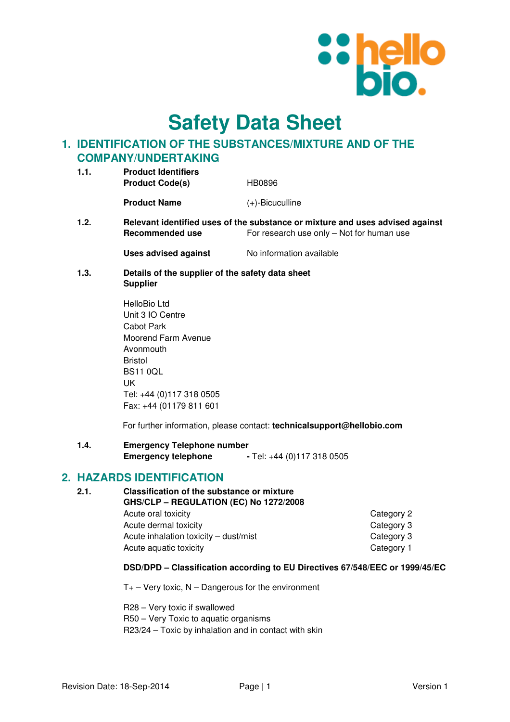

**Safety Data Sheet**

# **1. IDENTIFICATION OF THE SUBSTANCES/MIXTURE AND OF THE COMPANY/UNDERTAKING**

| 1.1. | <b>Product Identifiers</b><br><b>Product Code(s)</b><br>HB0896 |                    |  |
|------|----------------------------------------------------------------|--------------------|--|
|      | <b>Product Name</b>                                            | $(+)$ -Bicuculline |  |
| 1.2. | <b>Relevant identified uses of the substance or mip</b>        |                    |  |

**1.2. Relevant ideos in the substance substance in the substance and uses advised against Recommended use** For research use only – Not for human use

**Uses advised against No information available** 

- **1.3. Details of the supplier of the safety data sheet Supplier** 
	- HelloBio Ltd Unit 3 IO Centre Cabot Park Moorend Farm Avenue Avonmouth Bristol BS11 0QL UK Tel: +44 (0)117 318 0505 Fax: +44 (01179 811 601

For further information, please contact: **technicalsupport@hellobio.com** 

**1.4. Emergency Telephone number Emergency telephone** - Tel: +44 (0)117 318 0505

# **2. HAZARDS IDENTIFICATION**

| 2.1. | <b>Classification of the substance or mixture</b><br>GHS/CLP - REGULATION (EC) No 1272/2008 |            |  |
|------|---------------------------------------------------------------------------------------------|------------|--|
|      | Acute oral toxicity                                                                         | Category 2 |  |
|      | Acute dermal toxicity                                                                       | Category 3 |  |
|      | Acute inhalation toxicity - dust/mist                                                       | Category 3 |  |
|      | Acute aquatic toxicity                                                                      | Category 1 |  |

#### **DSD/DPD – Classification according to EU Directives 67/548/EEC or 1999/45/EC**

 $T_{+}$  – Very toxic, N – Dangerous for the environment

R28 – Very toxic if swallowed R50 – Very Toxic to aquatic organisms R23/24 – Toxic by inhalation and in contact with skin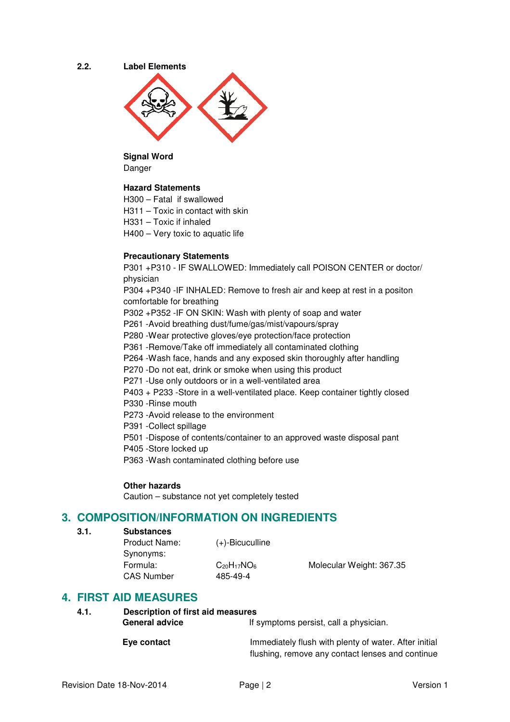



**Signal Word**  Danger

#### **Hazard Statements**

H300 – Fatal if swallowed

- H311 Toxic in contact with skin
- H331 Toxic if inhaled
- H400 Very toxic to aquatic life

#### **Precautionary Statements**

P301 +P310 - IF SWALLOWED: Immediately call POISON CENTER or doctor/ physician

P304 +P340 -IF INHALED: Remove to fresh air and keep at rest in a positon comfortable for breathing

P302 +P352 -IF ON SKIN: Wash with plenty of soap and water

- P261 -Avoid breathing dust/fume/gas/mist/vapours/spray
- P280 -Wear protective gloves/eye protection/face protection
- P361 -Remove/Take off immediately all contaminated clothing
- P264 -Wash face, hands and any exposed skin thoroughly after handling
- P270 -Do not eat, drink or smoke when using this product
- P271 -Use only outdoors or in a well-ventilated area
- P403 + P233 -Store in a well-ventilated place. Keep container tightly closed
- P330 -Rinse mouth
- P273 -Avoid release to the environment
- P391 -Collect spillage
- P501 -Dispose of contents/container to an approved waste disposal pant
- P405 -Store locked up
- P363 -Wash contaminated clothing before use

#### **Other hazards**

Caution – substance not yet completely tested

# **3. COMPOSITION/INFORMATION ON INGREDIENTS**

- **3.1. Substances** 
	- Product Name: (+)-Bicuculline Synonyms: CAS Number 485-49-4

Formula: C<sub>20</sub>H<sub>17</sub>NO<sub>6</sub> Molecular Weight: 367.35

# **4. FIRST AID MEASURES**

**4.1. Description of first aid measures**  General advice **If** symptoms persist, call a physician.

**Eye contact Immediately flush with plenty of water. After initial** flushing, remove any contact lenses and continue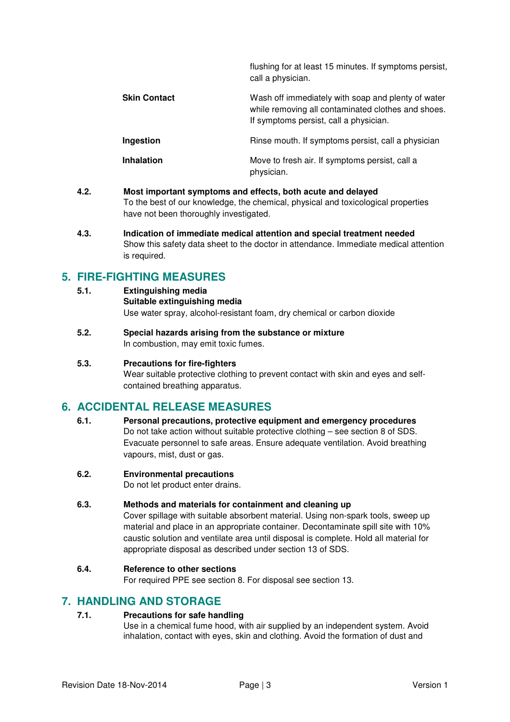|                     | flushing for at least 15 minutes. If symptoms persist,<br>call a physician.                                                                        |
|---------------------|----------------------------------------------------------------------------------------------------------------------------------------------------|
| <b>Skin Contact</b> | Wash off immediately with soap and plenty of water<br>while removing all contaminated clothes and shoes.<br>If symptoms persist, call a physician. |
| Ingestion           | Rinse mouth. If symptoms persist, call a physician                                                                                                 |
| <b>Inhalation</b>   | Move to fresh air. If symptoms persist, call a<br>physician.                                                                                       |

- **4.2. Most important symptoms and effects, both acute and delayed**  To the best of our knowledge, the chemical, physical and toxicological properties have not been thoroughly investigated.
- **4.3. Indication of immediate medical attention and special treatment needed**  Show this safety data sheet to the doctor in attendance. Immediate medical attention is required.

# **5. FIRE-FIGHTING MEASURES**

- **5.1. Extinguishing media Suitable extinguishing media** Use water spray, alcohol-resistant foam, dry chemical or carbon dioxide
- **5.2. Special hazards arising from the substance or mixture**  In combustion, may emit toxic fumes.

#### **5.3. Precautions for fire-fighters**

Wear suitable protective clothing to prevent contact with skin and eyes and selfcontained breathing apparatus.

# **6. ACCIDENTAL RELEASE MEASURES**

**6.1. Personal precautions, protective equipment and emergency procedures**  Do not take action without suitable protective clothing – see section 8 of SDS. Evacuate personnel to safe areas. Ensure adequate ventilation. Avoid breathing vapours, mist, dust or gas.

#### **6.2. Environmental precautions**

Do not let product enter drains.

### **6.3. Methods and materials for containment and cleaning up**

Cover spillage with suitable absorbent material. Using non-spark tools, sweep up material and place in an appropriate container. Decontaminate spill site with 10% caustic solution and ventilate area until disposal is complete. Hold all material for appropriate disposal as described under section 13 of SDS.

#### **6.4. Reference to other sections**

For required PPE see section 8. For disposal see section 13.

### **7. HANDLING AND STORAGE**

#### **7.1. Precautions for safe handling**

Use in a chemical fume hood, with air supplied by an independent system. Avoid inhalation, contact with eyes, skin and clothing. Avoid the formation of dust and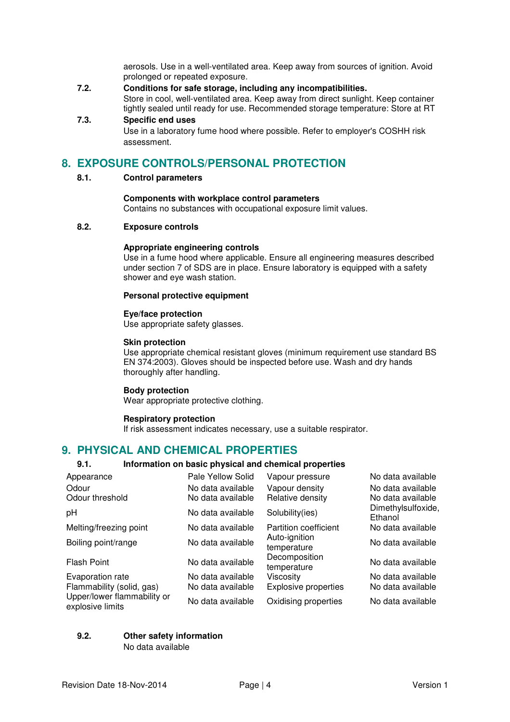aerosols. Use in a well-ventilated area. Keep away from sources of ignition. Avoid prolonged or repeated exposure.

- **7.2. Conditions for safe storage, including any incompatibilities.**  Store in cool, well-ventilated area. Keep away from direct sunlight. Keep container tightly sealed until ready for use. Recommended storage temperature: Store at RT
- **7.3. Specific end uses**

Use in a laboratory fume hood where possible. Refer to employer's COSHH risk assessment.

# **8. EXPOSURE CONTROLS/PERSONAL PROTECTION**

#### **8.1. Control parameters**

#### **Components with workplace control parameters**

Contains no substances with occupational exposure limit values.

#### **8.2. Exposure controls**

#### **Appropriate engineering controls**

Use in a fume hood where applicable. Ensure all engineering measures described under section 7 of SDS are in place. Ensure laboratory is equipped with a safety shower and eye wash station.

#### **Personal protective equipment**

#### **Eye/face protection**

Use appropriate safety glasses.

#### **Skin protection**

Use appropriate chemical resistant gloves (minimum requirement use standard BS EN 374:2003). Gloves should be inspected before use. Wash and dry hands thoroughly after handling.

#### **Body protection**

Wear appropriate protective clothing.

#### **Respiratory protection**

If risk assessment indicates necessary, use a suitable respirator.

### **9. PHYSICAL AND CHEMICAL PROPERTIES**

#### **9.1. Information on basic physical and chemical properties**

| Appearance                                      | Pale Yellow Solid | Vapour pressure              | No data available             |
|-------------------------------------------------|-------------------|------------------------------|-------------------------------|
| Odour                                           | No data available | Vapour density               | No data available             |
| Odour threshold                                 | No data available | Relative density             | No data available             |
| pH                                              | No data available | Solubility(ies)              | Dimethylsulfoxide,<br>Ethanol |
| Melting/freezing point                          | No data available | Partition coefficient        | No data available             |
| Boiling point/range                             | No data available | Auto-ignition<br>temperature | No data available             |
| <b>Flash Point</b>                              | No data available | Decomposition<br>temperature | No data available             |
| Evaporation rate                                | No data available | Viscosity                    | No data available             |
| Flammability (solid, gas)                       | No data available | <b>Explosive properties</b>  | No data available             |
| Upper/lower flammability or<br>explosive limits | No data available | Oxidising properties         | No data available             |

#### **9.2. Other safety information**

No data available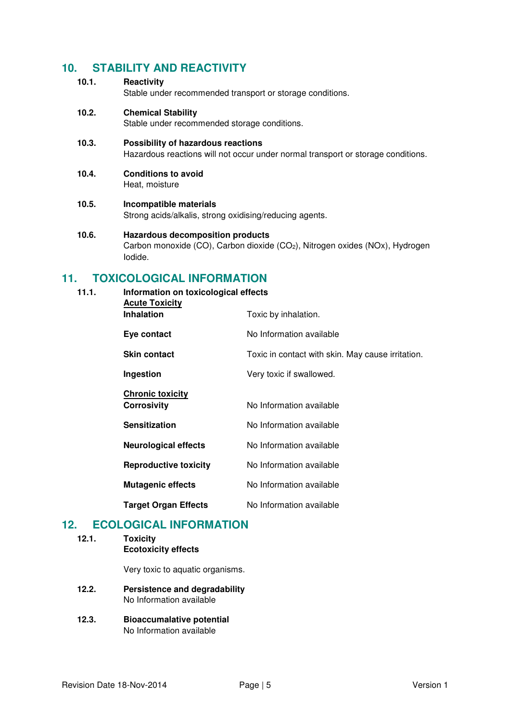# **10. STABILITY AND REACTIVITY**

**10.1. Reactivity** 

Stable under recommended transport or storage conditions.

**10.2. Chemical Stability** 

Stable under recommended storage conditions.

- **10.3. Possibility of hazardous reactions**  Hazardous reactions will not occur under normal transport or storage conditions.
- **10.4. Conditions to avoid**  Heat, moisture
- **10.5. Incompatible materials**  Strong acids/alkalis, strong oxidising/reducing agents.
- **10.6. Hazardous decomposition products**  Carbon monoxide (CO), Carbon dioxide (CO<sub>2</sub>), Nitrogen oxides (NOx), Hydrogen Iodide.

# **11. TOXICOLOGICAL INFORMATION**

**11.1. Information on toxicological effects Acute Toxicity Inhalation** Toxic by inhalation. **Eve contact** No Information available **Skin contact** Toxic in contact with skin. May cause irritation. **Ingestion** Very toxic if swallowed. **Chronic toxicity Corrosivity No Information available Sensitization No Information available Neurological effects** No Information available **Reproductive toxicity** No Information available **Mutagenic effects** No Information available **Target Organ Effects** No Information available

# **12. ECOLOGICAL INFORMATION**

**12.1. Toxicity Ecotoxicity effects** 

Very toxic to aquatic organisms.

- **12.2. Persistence and degradability**  No Information available
- **12.3. Bioaccumalative potential**  No Information available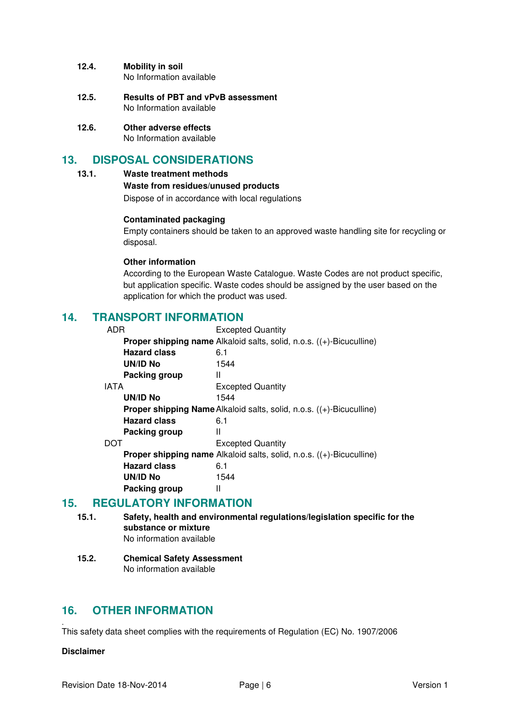#### **12.4. Mobility in soil**

No Information available

- **12.5. Results of PBT and vPvB assessment**  No Information available
- **12.6. Other adverse effects**  No Information available

## **13. DISPOSAL CONSIDERATIONS**

#### **13.1. Waste treatment methods**

#### **Waste from residues/unused products**

Dispose of in accordance with local regulations

#### **Contaminated packaging**

Empty containers should be taken to an approved waste handling site for recycling or disposal.

#### **Other information**

According to the European Waste Catalogue. Waste Codes are not product specific, but application specific. Waste codes should be assigned by the user based on the application for which the product was used.

### **14. TRANSPORT INFORMATION**

| <b>Excepted Quantity</b>                                                                 |  |
|------------------------------------------------------------------------------------------|--|
| <b>Proper shipping name</b> Alkaloid salts, solid, n.o.s. $((+)$ -Bicuculline)           |  |
| 6.1                                                                                      |  |
| 1544                                                                                     |  |
| Ш                                                                                        |  |
| <b>Excepted Quantity</b>                                                                 |  |
| 1544                                                                                     |  |
| <b>Proper shipping Name Alkaloid salts, solid, n.o.s. <math>((+)</math>-Bicuculline)</b> |  |
| 6.1                                                                                      |  |
| Ш                                                                                        |  |
| <b>Excepted Quantity</b>                                                                 |  |
| Proper shipping name Alkaloid salts, solid, n.o.s. ((+)-Bicuculline)                     |  |
| 6.1                                                                                      |  |
| 1544                                                                                     |  |
| Ш                                                                                        |  |
|                                                                                          |  |

### **15. REGULATORY INFORMATION**

- **15.1. Safety, health and environmental regulations/legislation specific for the substance or mixture**  No information available
- **15.2. Chemical Safety Assessment**  No information available

### **16. OTHER INFORMATION**

. This safety data sheet complies with the requirements of Regulation (EC) No. 1907/2006

#### **Disclaimer**